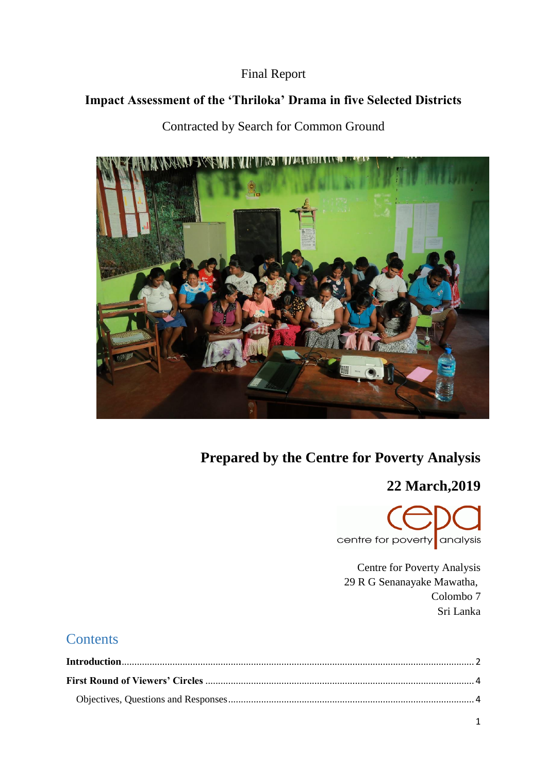## Final Report

# **Impact Assessment of the 'Thriloka' Drama in five Selected Districts**

# Contracted by Search for Common Ground



# **Prepared by the Centre for Poverty Analysis**

# **22 March,2019**



Centre for Poverty Analysis 29 R G Senanayake Mawatha, Colombo 7 Sri Lanka

# **Contents**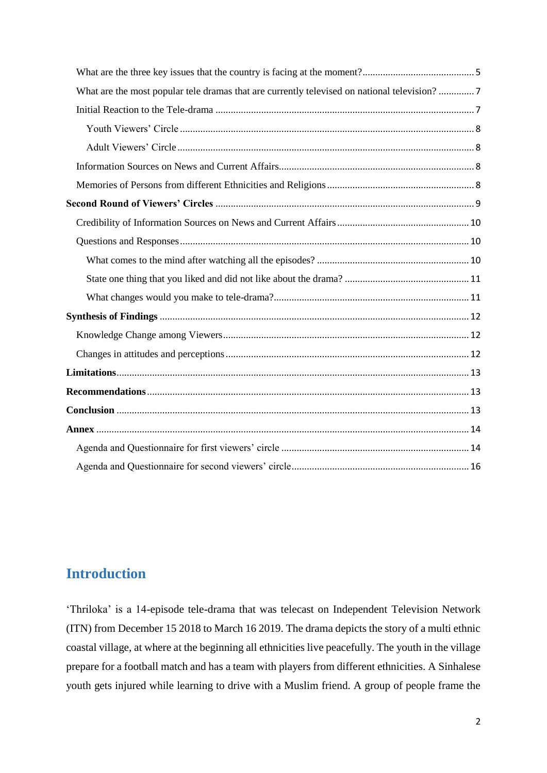| What are the most popular tele dramas that are currently televised on national television?  7 |  |
|-----------------------------------------------------------------------------------------------|--|
|                                                                                               |  |
|                                                                                               |  |
|                                                                                               |  |
|                                                                                               |  |
|                                                                                               |  |
|                                                                                               |  |
|                                                                                               |  |
|                                                                                               |  |
|                                                                                               |  |
|                                                                                               |  |
|                                                                                               |  |
|                                                                                               |  |
|                                                                                               |  |
|                                                                                               |  |
|                                                                                               |  |
|                                                                                               |  |
|                                                                                               |  |
|                                                                                               |  |
|                                                                                               |  |
|                                                                                               |  |

# <span id="page-1-0"></span>**Introduction**

'Thriloka' is a 14-episode tele-drama that was telecast on Independent Television Network (ITN) from December 15 2018 to March 16 2019. The drama depicts the story of a multi ethnic coastal village, at where at the beginning all ethnicities live peacefully. The youth in the village prepare for a football match and has a team with players from different ethnicities. A Sinhalese youth gets injured while learning to drive with a Muslim friend. A group of people frame the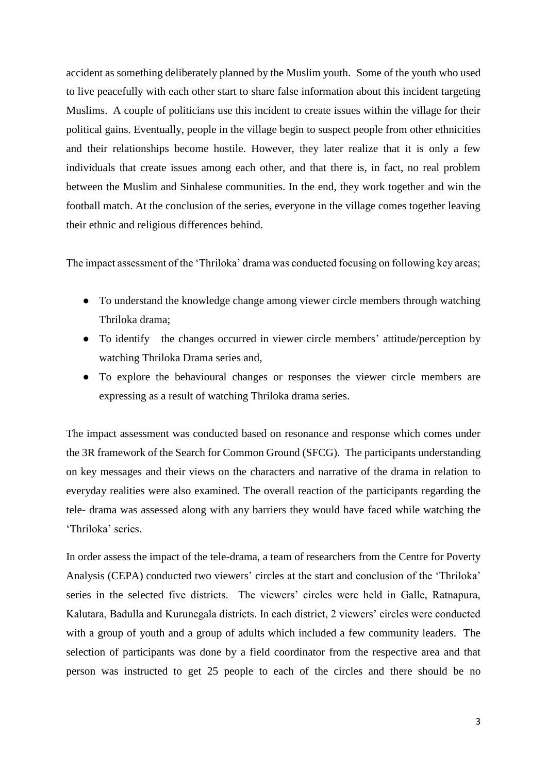accident as something deliberately planned by the Muslim youth. Some of the youth who used to live peacefully with each other start to share false information about this incident targeting Muslims. A couple of politicians use this incident to create issues within the village for their political gains. Eventually, people in the village begin to suspect people from other ethnicities and their relationships become hostile. However, they later realize that it is only a few individuals that create issues among each other, and that there is, in fact, no real problem between the Muslim and Sinhalese communities. In the end, they work together and win the football match. At the conclusion of the series, everyone in the village comes together leaving their ethnic and religious differences behind.

The impact assessment of the 'Thriloka' drama was conducted focusing on following key areas;

- To understand the knowledge change among viewer circle members through watching Thriloka drama;
- To identify the changes occurred in viewer circle members' attitude/perception by watching Thriloka Drama series and,
- To explore the behavioural changes or responses the viewer circle members are expressing as a result of watching Thriloka drama series.

The impact assessment was conducted based on resonance and response which comes under the 3R framework of the Search for Common Ground (SFCG). The participants understanding on key messages and their views on the characters and narrative of the drama in relation to everyday realities were also examined. The overall reaction of the participants regarding the tele- drama was assessed along with any barriers they would have faced while watching the 'Thriloka' series.

In order assess the impact of the tele-drama, a team of researchers from the Centre for Poverty Analysis (CEPA) conducted two viewers' circles at the start and conclusion of the 'Thriloka' series in the selected five districts. The viewers' circles were held in Galle, Ratnapura, Kalutara, Badulla and Kurunegala districts. In each district, 2 viewers' circles were conducted with a group of youth and a group of adults which included a few community leaders. The selection of participants was done by a field coordinator from the respective area and that person was instructed to get 25 people to each of the circles and there should be no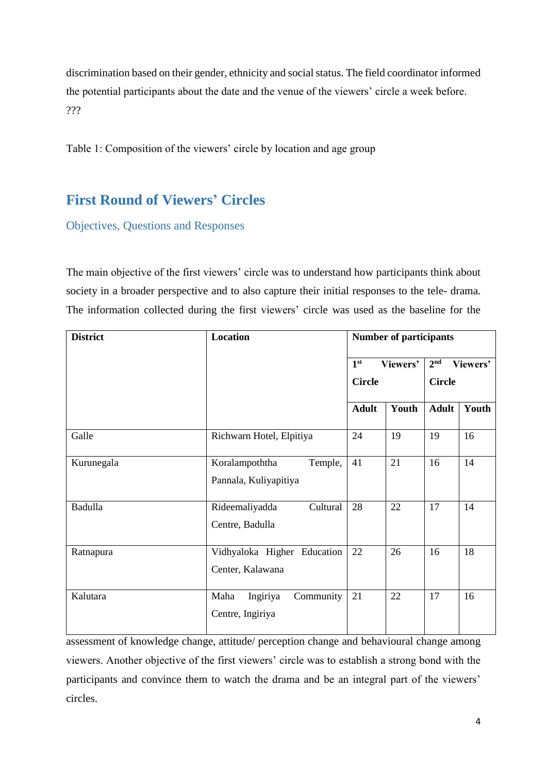discrimination based on their gender, ethnicity and social status. The field coordinator informed the potential participants about the date and the venue of the viewers' circle a week before. ???

Table 1: Composition of the viewers' circle by location and age group

# <span id="page-3-0"></span>**First Round of Viewers' Circles**

<span id="page-3-1"></span>Objectives, Questions and Responses

The main objective of the first viewers' circle was to understand how participants think about society in a broader perspective and to also capture their initial responses to the tele- drama. The information collected during the first viewers' circle was used as the baseline for the

| <b>District</b> | Location                                           | <b>Number of participants</b>  |          |                 |          |
|-----------------|----------------------------------------------------|--------------------------------|----------|-----------------|----------|
|                 |                                                    | 1 <sup>st</sup>                | Viewers' | 2 <sup>nd</sup> | Viewers' |
|                 |                                                    | <b>Circle</b><br><b>Circle</b> |          |                 |          |
|                 |                                                    | <b>Adult</b>                   | Youth    | <b>Adult</b>    | Youth    |
| Galle           | Richwarn Hotel, Elpitiya                           | 24                             | 19       | 19              | 16       |
| Kurunegala      | Koralampoththa<br>Temple,<br>Pannala, Kuliyapitiya | 41                             | 21       | 16              | 14       |
| Badulla         | Rideemaliyadda<br>Cultural<br>Centre, Badulla      | 28                             | 22       | 17              | 14       |
| Ratnapura       | Vidhyaloka Higher Education<br>Center, Kalawana    | 22                             | 26       | 16              | 18       |
| Kalutara        | Maha<br>Ingiriya<br>Community<br>Centre, Ingiriya  | 21                             | 22       | 17              | 16       |

assessment of knowledge change, attitude/ perception change and behavioural change among viewers. Another objective of the first viewers' circle was to establish a strong bond with the participants and convince them to watch the drama and be an integral part of the viewers' circles.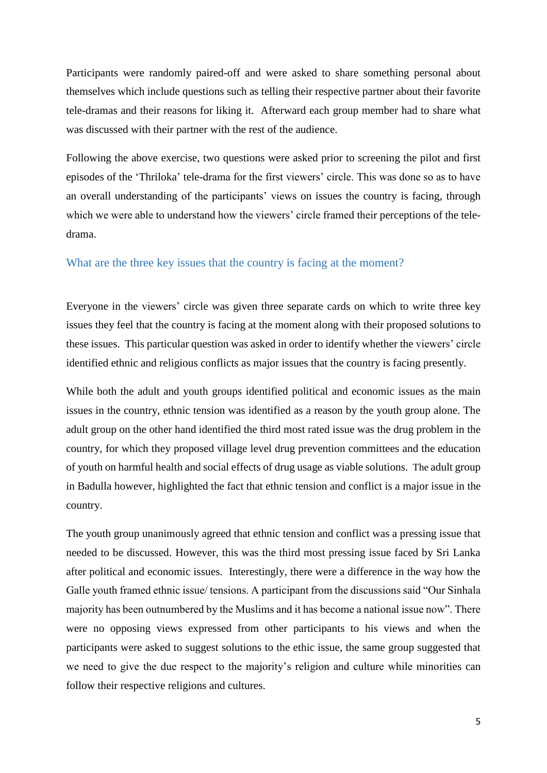Participants were randomly paired-off and were asked to share something personal about themselves which include questions such as telling their respective partner about their favorite tele-dramas and their reasons for liking it. Afterward each group member had to share what was discussed with their partner with the rest of the audience.

Following the above exercise, two questions were asked prior to screening the pilot and first episodes of the 'Thriloka' tele-drama for the first viewers' circle. This was done so as to have an overall understanding of the participants' views on issues the country is facing, through which we were able to understand how the viewers' circle framed their perceptions of the teledrama.

### <span id="page-4-0"></span>What are the three key issues that the country is facing at the moment?

Everyone in the viewers' circle was given three separate cards on which to write three key issues they feel that the country is facing at the moment along with their proposed solutions to these issues. This particular question was asked in order to identify whether the viewers' circle identified ethnic and religious conflicts as major issues that the country is facing presently.

While both the adult and youth groups identified political and economic issues as the main issues in the country, ethnic tension was identified as a reason by the youth group alone. The adult group on the other hand identified the third most rated issue was the drug problem in the country, for which they proposed village level drug prevention committees and the education of youth on harmful health and social effects of drug usage as viable solutions. The adult group in Badulla however, highlighted the fact that ethnic tension and conflict is a major issue in the country.

The youth group unanimously agreed that ethnic tension and conflict was a pressing issue that needed to be discussed. However, this was the third most pressing issue faced by Sri Lanka after political and economic issues. Interestingly, there were a difference in the way how the Galle youth framed ethnic issue/ tensions. A participant from the discussions said "Our Sinhala majority has been outnumbered by the Muslims and it has become a national issue now". There were no opposing views expressed from other participants to his views and when the participants were asked to suggest solutions to the ethic issue, the same group suggested that we need to give the due respect to the majority's religion and culture while minorities can follow their respective religions and cultures.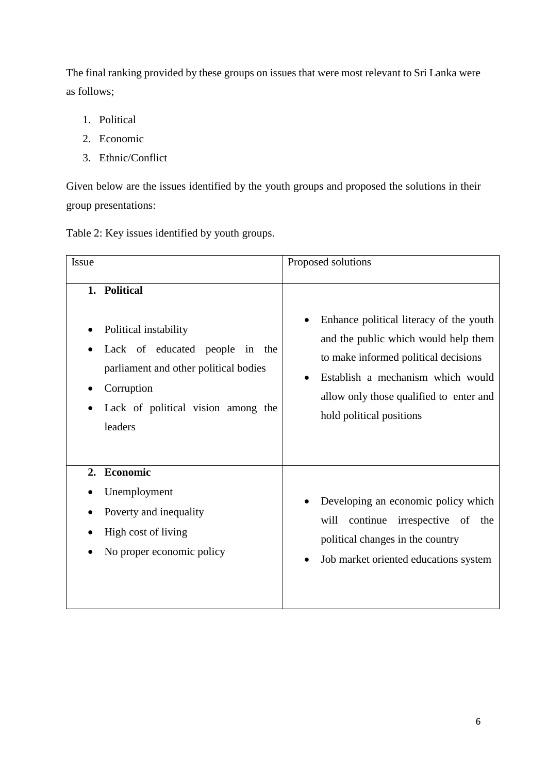The final ranking provided by these groups on issues that were most relevant to Sri Lanka were as follows;

- 1. Political
- 2. Economic
- 3. Ethnic/Conflict

Given below are the issues identified by the youth groups and proposed the solutions in their group presentations:

| Table 2: Key issues identified by youth groups. |  |  |  |
|-------------------------------------------------|--|--|--|
|                                                 |  |  |  |

| Issue                                                                                                                                                                              | Proposed solutions                                                                                                                                                                                                                  |
|------------------------------------------------------------------------------------------------------------------------------------------------------------------------------------|-------------------------------------------------------------------------------------------------------------------------------------------------------------------------------------------------------------------------------------|
| 1. Political<br>Political instability<br>Lack of educated people<br>in the<br>parliament and other political bodies<br>Corruption<br>Lack of political vision among the<br>leaders | Enhance political literacy of the youth<br>and the public which would help them<br>to make informed political decisions<br>Establish a mechanism which would<br>allow only those qualified to enter and<br>hold political positions |
| 2. Economic<br>Unemployment<br>Poverty and inequality<br>High cost of living<br>No proper economic policy                                                                          | Developing an economic policy which<br>will<br>continue<br>irrespective of the<br>political changes in the country<br>Job market oriented educations system                                                                         |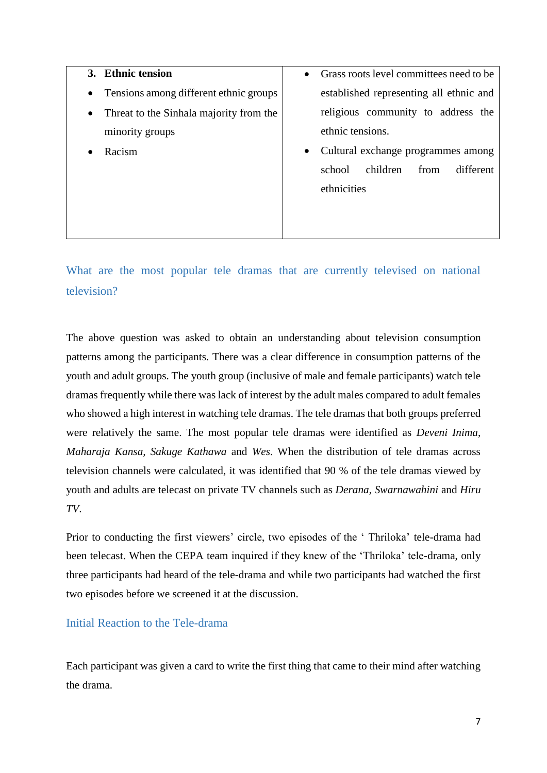**3. Ethnic tension** • Tensions among different ethnic groups • Threat to the Sinhala majority from the minority groups • Racism • Grass roots level committees need to be established representing all ethnic and religious community to address the ethnic tensions. • Cultural exchange programmes among school children from different ethnicities

<span id="page-6-0"></span>What are the most popular tele dramas that are currently televised on national television?

The above question was asked to obtain an understanding about television consumption patterns among the participants. There was a clear difference in consumption patterns of the youth and adult groups. The youth group (inclusive of male and female participants) watch tele dramas frequently while there was lack of interest by the adult males compared to adult females who showed a high interest in watching tele dramas. The tele dramas that both groups preferred were relatively the same. The most popular tele dramas were identified as *Deveni Inima, Maharaja Kansa, Sakuge Kathawa* and *Wes*. When the distribution of tele dramas across television channels were calculated, it was identified that 90 % of the tele dramas viewed by youth and adults are telecast on private TV channels such as *Derana, Swarnawahini* and *Hiru TV*.

Prior to conducting the first viewers' circle, two episodes of the ' Thriloka' tele-drama had been telecast. When the CEPA team inquired if they knew of the 'Thriloka' tele-drama, only three participants had heard of the tele-drama and while two participants had watched the first two episodes before we screened it at the discussion.

### <span id="page-6-1"></span>Initial Reaction to the Tele-drama

Each participant was given a card to write the first thing that came to their mind after watching the drama.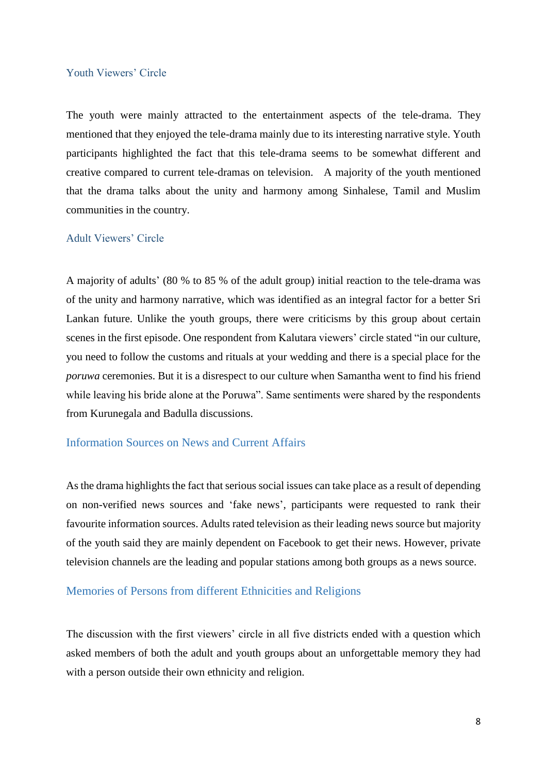### <span id="page-7-0"></span>Youth Viewers' Circle

The youth were mainly attracted to the entertainment aspects of the tele-drama. They mentioned that they enjoyed the tele-drama mainly due to its interesting narrative style. Youth participants highlighted the fact that this tele-drama seems to be somewhat different and creative compared to current tele-dramas on television. A majority of the youth mentioned that the drama talks about the unity and harmony among Sinhalese, Tamil and Muslim communities in the country.

### <span id="page-7-1"></span>Adult Viewers' Circle

A majority of adults' (80 % to 85 % of the adult group) initial reaction to the tele-drama was of the unity and harmony narrative, which was identified as an integral factor for a better Sri Lankan future. Unlike the youth groups, there were criticisms by this group about certain scenes in the first episode. One respondent from Kalutara viewers' circle stated "in our culture, you need to follow the customs and rituals at your wedding and there is a special place for the *poruwa* ceremonies. But it is a disrespect to our culture when Samantha went to find his friend while leaving his bride alone at the Poruwa". Same sentiments were shared by the respondents from Kurunegala and Badulla discussions.

### <span id="page-7-2"></span>Information Sources on News and Current Affairs

As the drama highlights the fact that serious social issues can take place as a result of depending on non-verified news sources and 'fake news', participants were requested to rank their favourite information sources. Adults rated television as their leading news source but majority of the youth said they are mainly dependent on Facebook to get their news. However, private television channels are the leading and popular stations among both groups as a news source.

### <span id="page-7-3"></span>Memories of Persons from different Ethnicities and Religions

The discussion with the first viewers' circle in all five districts ended with a question which asked members of both the adult and youth groups about an unforgettable memory they had with a person outside their own ethnicity and religion.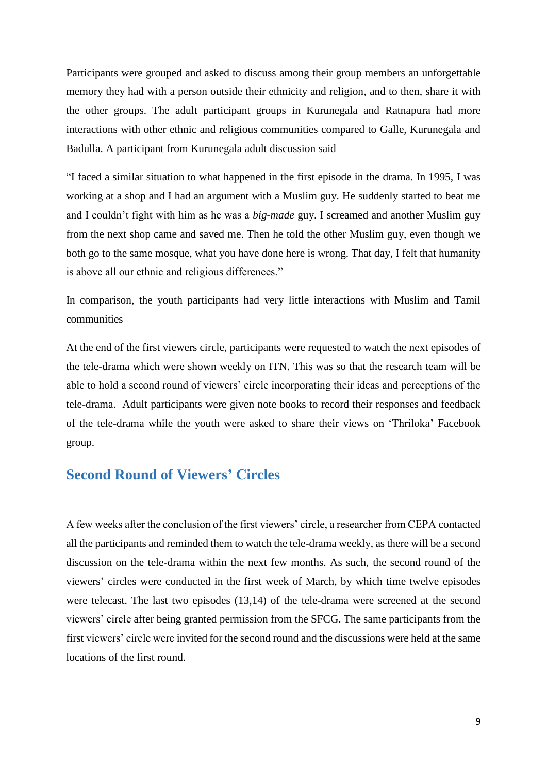Participants were grouped and asked to discuss among their group members an unforgettable memory they had with a person outside their ethnicity and religion, and to then, share it with the other groups. The adult participant groups in Kurunegala and Ratnapura had more interactions with other ethnic and religious communities compared to Galle, Kurunegala and Badulla. A participant from Kurunegala adult discussion said

"I faced a similar situation to what happened in the first episode in the drama. In 1995, I was working at a shop and I had an argument with a Muslim guy. He suddenly started to beat me and I couldn't fight with him as he was a *big-made* guy. I screamed and another Muslim guy from the next shop came and saved me. Then he told the other Muslim guy, even though we both go to the same mosque, what you have done here is wrong. That day, I felt that humanity is above all our ethnic and religious differences."

In comparison, the youth participants had very little interactions with Muslim and Tamil communities

At the end of the first viewers circle, participants were requested to watch the next episodes of the tele-drama which were shown weekly on ITN. This was so that the research team will be able to hold a second round of viewers' circle incorporating their ideas and perceptions of the tele-drama. Adult participants were given note books to record their responses and feedback of the tele-drama while the youth were asked to share their views on 'Thriloka' Facebook group.

## <span id="page-8-0"></span>**Second Round of Viewers' Circles**

A few weeks after the conclusion of the first viewers' circle, a researcher from CEPA contacted all the participants and reminded them to watch the tele-drama weekly, as there will be a second discussion on the tele-drama within the next few months. As such, the second round of the viewers' circles were conducted in the first week of March, by which time twelve episodes were telecast. The last two episodes (13,14) of the tele-drama were screened at the second viewers' circle after being granted permission from the SFCG. The same participants from the first viewers' circle were invited for the second round and the discussions were held at the same locations of the first round.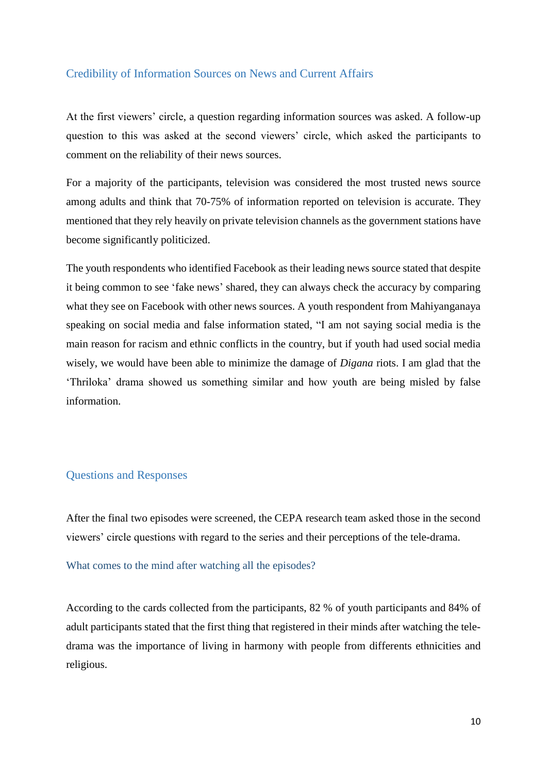### <span id="page-9-0"></span>Credibility of Information Sources on News and Current Affairs

At the first viewers' circle, a question regarding information sources was asked. A follow-up question to this was asked at the second viewers' circle, which asked the participants to comment on the reliability of their news sources.

For a majority of the participants, television was considered the most trusted news source among adults and think that 70-75% of information reported on television is accurate. They mentioned that they rely heavily on private television channels as the government stations have become significantly politicized.

The youth respondents who identified Facebook as their leading news source stated that despite it being common to see 'fake news' shared, they can always check the accuracy by comparing what they see on Facebook with other news sources. A youth respondent from Mahiyanganaya speaking on social media and false information stated, "I am not saying social media is the main reason for racism and ethnic conflicts in the country, but if youth had used social media wisely, we would have been able to minimize the damage of *Digana* riots. I am glad that the 'Thriloka' drama showed us something similar and how youth are being misled by false information.

### <span id="page-9-1"></span>Questions and Responses

After the final two episodes were screened, the CEPA research team asked those in the second viewers' circle questions with regard to the series and their perceptions of the tele-drama.

### <span id="page-9-2"></span>What comes to the mind after watching all the episodes?

According to the cards collected from the participants, 82 % of youth participants and 84% of adult participants stated that the first thing that registered in their minds after watching the teledrama was the importance of living in harmony with people from differents ethnicities and religious.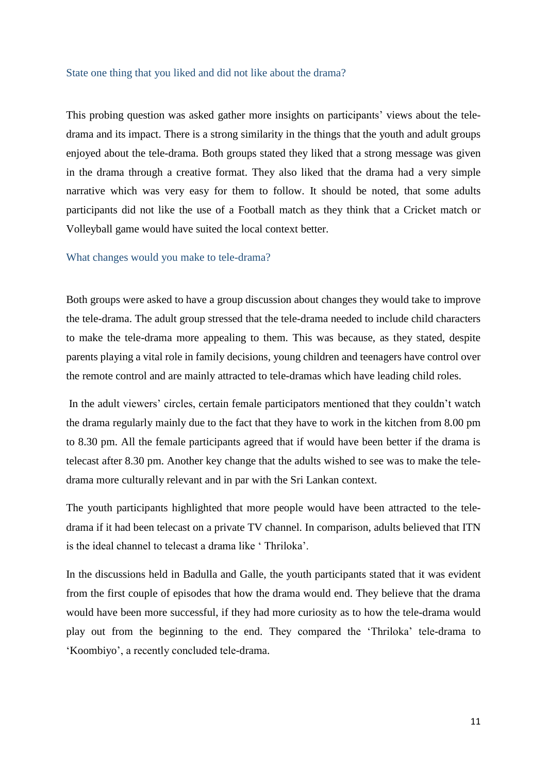### <span id="page-10-0"></span>State one thing that you liked and did not like about the drama?

This probing question was asked gather more insights on participants' views about the teledrama and its impact. There is a strong similarity in the things that the youth and adult groups enjoyed about the tele-drama. Both groups stated they liked that a strong message was given in the drama through a creative format. They also liked that the drama had a very simple narrative which was very easy for them to follow. It should be noted, that some adults participants did not like the use of a Football match as they think that a Cricket match or Volleyball game would have suited the local context better.

### <span id="page-10-1"></span>What changes would you make to tele-drama?

Both groups were asked to have a group discussion about changes they would take to improve the tele-drama. The adult group stressed that the tele-drama needed to include child characters to make the tele-drama more appealing to them. This was because, as they stated, despite parents playing a vital role in family decisions, young children and teenagers have control over the remote control and are mainly attracted to tele-dramas which have leading child roles.

In the adult viewers' circles, certain female participators mentioned that they couldn't watch the drama regularly mainly due to the fact that they have to work in the kitchen from 8.00 pm to 8.30 pm. All the female participants agreed that if would have been better if the drama is telecast after 8.30 pm. Another key change that the adults wished to see was to make the teledrama more culturally relevant and in par with the Sri Lankan context.

The youth participants highlighted that more people would have been attracted to the teledrama if it had been telecast on a private TV channel. In comparison, adults believed that ITN is the ideal channel to telecast a drama like ' Thriloka'.

In the discussions held in Badulla and Galle, the youth participants stated that it was evident from the first couple of episodes that how the drama would end. They believe that the drama would have been more successful, if they had more curiosity as to how the tele-drama would play out from the beginning to the end. They compared the 'Thriloka' tele-drama to 'Koombiyo', a recently concluded tele-drama.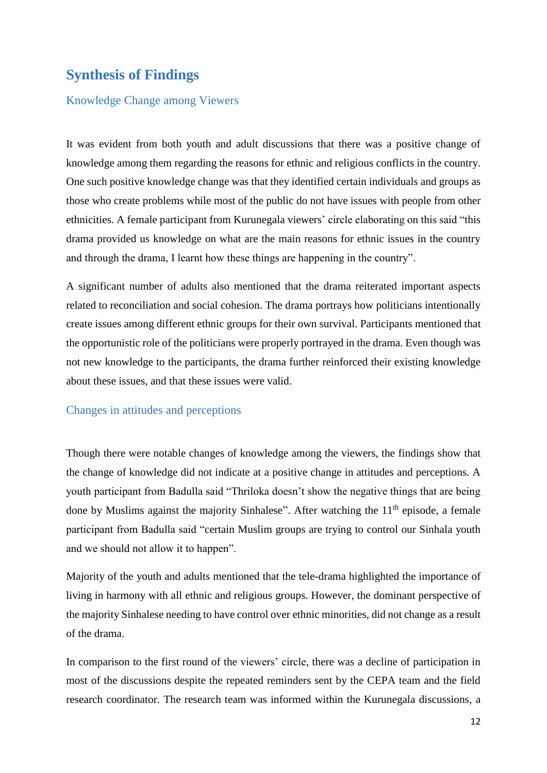# <span id="page-11-0"></span>**Synthesis of Findings**

### <span id="page-11-1"></span>Knowledge Change among Viewers

It was evident from both youth and adult discussions that there was a positive change of knowledge among them regarding the reasons for ethnic and religious conflicts in the country. One such positive knowledge change was that they identified certain individuals and groups as those who create problems while most of the public do not have issues with people from other ethnicities. A female participant from Kurunegala viewers' circle elaborating on this said "this drama provided us knowledge on what are the main reasons for ethnic issues in the country and through the drama, I learnt how these things are happening in the country".

A significant number of adults also mentioned that the drama reiterated important aspects related to reconciliation and social cohesion. The drama portrays how politicians intentionally create issues among different ethnic groups for their own survival. Participants mentioned that the opportunistic role of the politicians were properly portrayed in the drama. Even though was not new knowledge to the participants, the drama further reinforced their existing knowledge about these issues, and that these issues were valid.

### <span id="page-11-2"></span>Changes in attitudes and perceptions

Though there were notable changes of knowledge among the viewers, the findings show that the change of knowledge did not indicate at a positive change in attitudes and perceptions. A youth participant from Badulla said "Thriloka doesn't show the negative things that are being done by Muslims against the majority Sinhalese". After watching the  $11<sup>th</sup>$  episode, a female participant from Badulla said "certain Muslim groups are trying to control our Sinhala youth and we should not allow it to happen".

Majority of the youth and adults mentioned that the tele-drama highlighted the importance of living in harmony with all ethnic and religious groups. However, the dominant perspective of the majority Sinhalese needing to have control over ethnic minorities, did not change as a result of the drama.

In comparison to the first round of the viewers' circle, there was a decline of participation in most of the discussions despite the repeated reminders sent by the CEPA team and the field research coordinator. The research team was informed within the Kurunegala discussions, a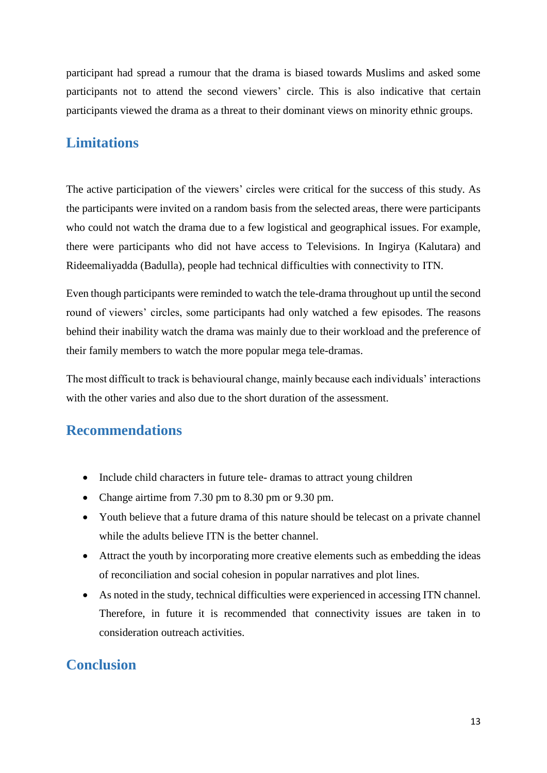participant had spread a rumour that the drama is biased towards Muslims and asked some participants not to attend the second viewers' circle. This is also indicative that certain participants viewed the drama as a threat to their dominant views on minority ethnic groups.

### <span id="page-12-0"></span>**Limitations**

The active participation of the viewers' circles were critical for the success of this study. As the participants were invited on a random basis from the selected areas, there were participants who could not watch the drama due to a few logistical and geographical issues. For example, there were participants who did not have access to Televisions. In Ingirya (Kalutara) and Rideemaliyadda (Badulla), people had technical difficulties with connectivity to ITN.

Even though participants were reminded to watch the tele-drama throughout up until the second round of viewers' circles, some participants had only watched a few episodes. The reasons behind their inability watch the drama was mainly due to their workload and the preference of their family members to watch the more popular mega tele-dramas.

The most difficult to track is behavioural change, mainly because each individuals' interactions with the other varies and also due to the short duration of the assessment.

### <span id="page-12-1"></span>**Recommendations**

- Include child characters in future tele-dramas to attract young children
- Change airtime from 7.30 pm to 8.30 pm or 9.30 pm.
- Youth believe that a future drama of this nature should be telecast on a private channel while the adults believe ITN is the better channel.
- Attract the youth by incorporating more creative elements such as embedding the ideas of reconciliation and social cohesion in popular narratives and plot lines.
- As noted in the study, technical difficulties were experienced in accessing ITN channel. Therefore, in future it is recommended that connectivity issues are taken in to consideration outreach activities.

## <span id="page-12-2"></span>**Conclusion**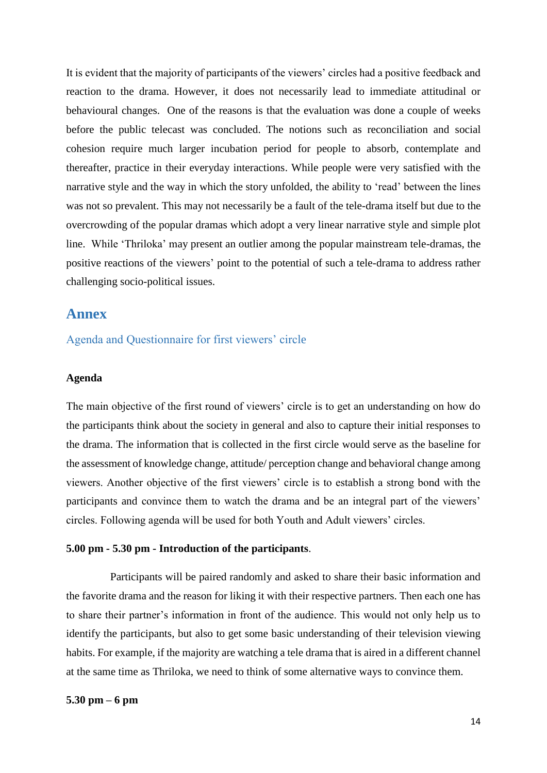It is evident that the majority of participants of the viewers' circles had a positive feedback and reaction to the drama. However, it does not necessarily lead to immediate attitudinal or behavioural changes. One of the reasons is that the evaluation was done a couple of weeks before the public telecast was concluded. The notions such as reconciliation and social cohesion require much larger incubation period for people to absorb, contemplate and thereafter, practice in their everyday interactions. While people were very satisfied with the narrative style and the way in which the story unfolded, the ability to 'read' between the lines was not so prevalent. This may not necessarily be a fault of the tele-drama itself but due to the overcrowding of the popular dramas which adopt a very linear narrative style and simple plot line. While 'Thriloka' may present an outlier among the popular mainstream tele-dramas, the positive reactions of the viewers' point to the potential of such a tele-drama to address rather challenging socio-political issues.

### <span id="page-13-0"></span>**Annex**

<span id="page-13-1"></span>Agenda and Questionnaire for first viewers' circle

### **Agenda**

The main objective of the first round of viewers' circle is to get an understanding on how do the participants think about the society in general and also to capture their initial responses to the drama. The information that is collected in the first circle would serve as the baseline for the assessment of knowledge change, attitude/ perception change and behavioral change among viewers. Another objective of the first viewers' circle is to establish a strong bond with the participants and convince them to watch the drama and be an integral part of the viewers' circles. Following agenda will be used for both Youth and Adult viewers' circles.

### **5.00 pm - 5.30 pm - Introduction of the participants**.

 Participants will be paired randomly and asked to share their basic information and the favorite drama and the reason for liking it with their respective partners. Then each one has to share their partner's information in front of the audience. This would not only help us to identify the participants, but also to get some basic understanding of their television viewing habits. For example, if the majority are watching a tele drama that is aired in a different channel at the same time as Thriloka, we need to think of some alternative ways to convince them.

### **5.30 pm – 6 pm**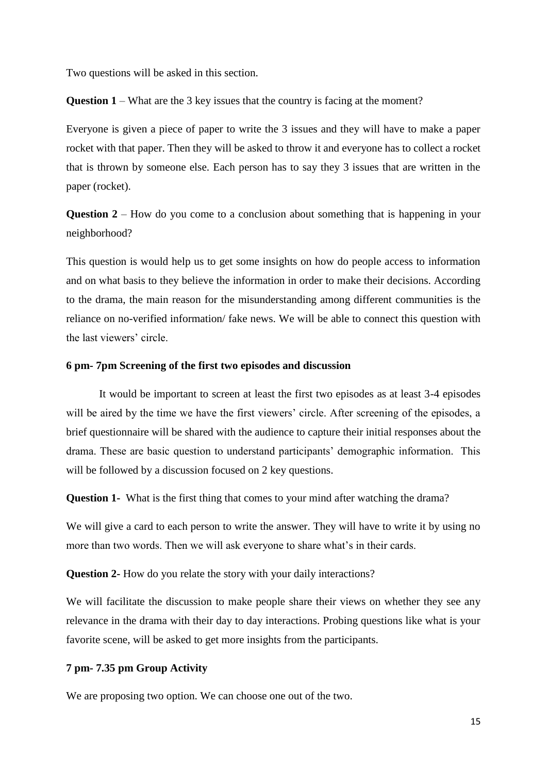Two questions will be asked in this section.

**Question 1** – What are the 3 key issues that the country is facing at the moment?

Everyone is given a piece of paper to write the 3 issues and they will have to make a paper rocket with that paper. Then they will be asked to throw it and everyone has to collect a rocket that is thrown by someone else. Each person has to say they 3 issues that are written in the paper (rocket).

**Question 2** – How do you come to a conclusion about something that is happening in your neighborhood?

This question is would help us to get some insights on how do people access to information and on what basis to they believe the information in order to make their decisions. According to the drama, the main reason for the misunderstanding among different communities is the reliance on no-verified information/ fake news. We will be able to connect this question with the last viewers' circle.

### **6 pm- 7pm Screening of the first two episodes and discussion**

It would be important to screen at least the first two episodes as at least 3-4 episodes will be aired by the time we have the first viewers' circle. After screening of the episodes, a brief questionnaire will be shared with the audience to capture their initial responses about the drama. These are basic question to understand participants' demographic information. This will be followed by a discussion focused on 2 key questions.

**Question 1-** What is the first thing that comes to your mind after watching the drama?

We will give a card to each person to write the answer. They will have to write it by using no more than two words. Then we will ask everyone to share what's in their cards.

**Question 2-** How do you relate the story with your daily interactions?

We will facilitate the discussion to make people share their views on whether they see any relevance in the drama with their day to day interactions. Probing questions like what is your favorite scene, will be asked to get more insights from the participants.

### **7 pm- 7.35 pm Group Activity**

We are proposing two option. We can choose one out of the two.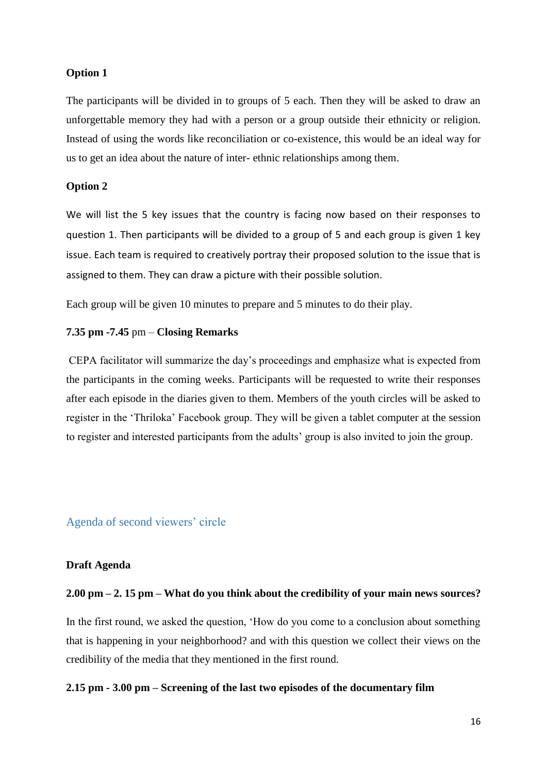### **Option 1**

The participants will be divided in to groups of 5 each. Then they will be asked to draw an unforgettable memory they had with a person or a group outside their ethnicity or religion. Instead of using the words like reconciliation or co-existence, this would be an ideal way for us to get an idea about the nature of inter- ethnic relationships among them.

### **Option 2**

We will list the 5 key issues that the country is facing now based on their responses to question 1. Then participants will be divided to a group of 5 and each group is given 1 key issue. Each team is required to creatively portray their proposed solution to the issue that is assigned to them. They can draw a picture with their possible solution.

Each group will be given 10 minutes to prepare and 5 minutes to do their play.

### **7.35 pm -7.45** pm – **Closing Remarks**

CEPA facilitator will summarize the day's proceedings and emphasize what is expected from the participants in the coming weeks. Participants will be requested to write their responses after each episode in the diaries given to them. Members of the youth circles will be asked to register in the 'Thriloka' Facebook group. They will be given a tablet computer at the session to register and interested participants from the adults' group is also invited to join the group.

### <span id="page-15-0"></span>Agenda of second viewers' circle

### **Draft Agenda**

#### **2.00 pm – 2. 15 pm – What do you think about the credibility of your main news sources?**

In the first round, we asked the question, 'How do you come to a conclusion about something that is happening in your neighborhood? and with this question we collect their views on the credibility of the media that they mentioned in the first round.

### **2.15 pm - 3.00 pm – Screening of the last two episodes of the documentary film**